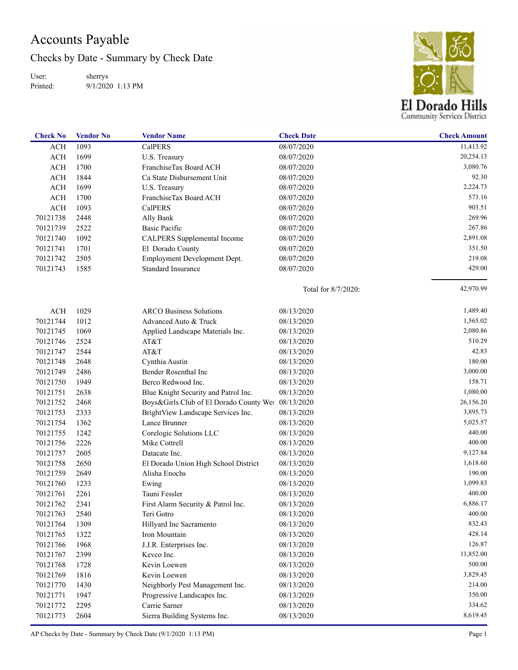## Accounts Payable

Checks by Date - Summary by Check Date

User: Printed: sherrys 9/1/2020 1:13 PM



| <b>Check No</b> | <b>Vendor No</b> | <b>Vendor Name</b>                                 | <b>Check Date</b>   | <b>Check Amount</b> |
|-----------------|------------------|----------------------------------------------------|---------------------|---------------------|
| <b>ACH</b>      | 1093             | <b>CalPERS</b>                                     | 08/07/2020          | 11,413.92           |
| <b>ACH</b>      | 1699             | U.S. Treasury                                      | 08/07/2020          | 20,254.13           |
| <b>ACH</b>      | 1700             | FranchiseTax Board ACH                             | 08/07/2020          | 3,080.76            |
| <b>ACH</b>      | 1844             | Ca State Disbursement Unit                         | 08/07/2020          | 92.30               |
| <b>ACH</b>      | 1699             | U.S. Treasury                                      | 08/07/2020          | 2,224.73            |
| <b>ACH</b>      | 1700             | FranchiseTax Board ACH                             | 08/07/2020          | 573.16              |
| <b>ACH</b>      | 1093             | <b>CalPERS</b>                                     | 08/07/2020          | 903.51              |
| 70121738        | 2448             | Ally Bank                                          | 08/07/2020          | 269.96              |
| 70121739        | 2522             | <b>Basic Pacific</b>                               | 08/07/2020          | 267.86              |
| 70121740        | 1092             | CALPERS Supplemental Income                        | 08/07/2020          | 2,891.08            |
| 70121741        | 1701             | El Dorado County                                   | 08/07/2020          | 351.50              |
| 70121742        | 2505             | Employment Development Dept.                       | 08/07/2020          | 219.08              |
| 70121743        | 1585             | Standard Insurance                                 | 08/07/2020          | 429.00              |
|                 |                  |                                                    | Total for 8/7/2020: | 42,970.99           |
| <b>ACH</b>      | 1029             | <b>ARCO Business Solutions</b>                     | 08/13/2020          | 1,489.40            |
| 70121744        | 1012             | Advanced Auto & Truck                              | 08/13/2020          | 1,565.02            |
| 70121745        | 1069             | Applied Landscape Materials Inc.                   | 08/13/2020          | 2,080.86            |
| 70121746        | 2524             | AT&T                                               | 08/13/2020          | 510.29              |
| 70121747        | 2544             | AT&T                                               | 08/13/2020          | 42.83               |
| 70121748        | 2648             | Cynthia Austin                                     | 08/13/2020          | 180.00              |
| 70121749        | 2486             | Bender Rosenthal Inc                               | 08/13/2020          | 3,000.00            |
| 70121750        | 1949             | Berco Redwood Inc.                                 | 08/13/2020          | 158.71              |
| 70121751        | 2638             | Blue Knight Security and Patrol Inc.               | 08/13/2020          | 1,080.00            |
| 70121752        | 2468             | Boys&Girls Club of El Dorado County Wes 08/13/2020 |                     | 26,156.20           |
| 70121753        | 2333             | BrightView Landscape Services Inc.                 | 08/13/2020          | 3,895.73            |
| 70121754        | 1362             | Lance Brunner                                      | 08/13/2020          | 5,025.57            |
| 70121755        | 1242             | Corelogic Solutions LLC                            | 08/13/2020          | 440.00              |
| 70121756        | 2226             | Mike Cottrell                                      | 08/13/2020          | 400.00              |
| 70121757        | 2605             | Datacate Inc.                                      | 08/13/2020          | 9,127.84            |
| 70121758        | 2650             | El Dorado Union High School District               | 08/13/2020          | 1,618.60            |
| 70121759        | 2649             | Alisha Enochs                                      | 08/13/2020          | 190.00              |
| 70121760        | 1233             | Ewing                                              | 08/13/2020          | 1,099.83            |
| 70121761        | 2261             | Tauni Fessler                                      | 08/13/2020          | 400.00              |
| 70121762        | 2341             | First Alarm Security & Patrol Inc.                 | 08/13/2020          | 6,886.17            |
| 70121763        | 2540             | Teri Gotro                                         | 08/13/2020          | 400.00              |
| 70121764        | 1309             | Hillyard Inc Sacramento                            | 08/13/2020          | 832.43              |
| 70121765        | 1322             | Iron Mountain                                      | 08/13/2020          | 428.14              |
| 70121766        | 1968             | J.J.R. Enterprises Inc.                            | 08/13/2020          | 126.87              |
| 70121767        | 2399             | Kevco Inc.                                         | 08/13/2020          | 11,852.00           |
| 70121768        | 1728             | Kevin Loewen                                       | 08/13/2020          | 500.00              |
| 70121769        | 1816             | Kevin Loewen                                       | 08/13/2020          | 3,829.45            |
| 70121770        | 1430             | Neighborly Pest Management Inc.                    | 08/13/2020          | 214.00              |
| 70121771        | 1947             | Progressive Landscapes Inc.                        | 08/13/2020          | 350.00              |
| 70121772        | 2295             | Carrie Sarner                                      | 08/13/2020          | 334.62              |
| 70121773        | 2604             | Sierra Building Systems Inc.                       | 08/13/2020          | 8,619.45            |

AP Checks by Date - Summary by Check Date (9/1/2020 1:13 PM) Page 1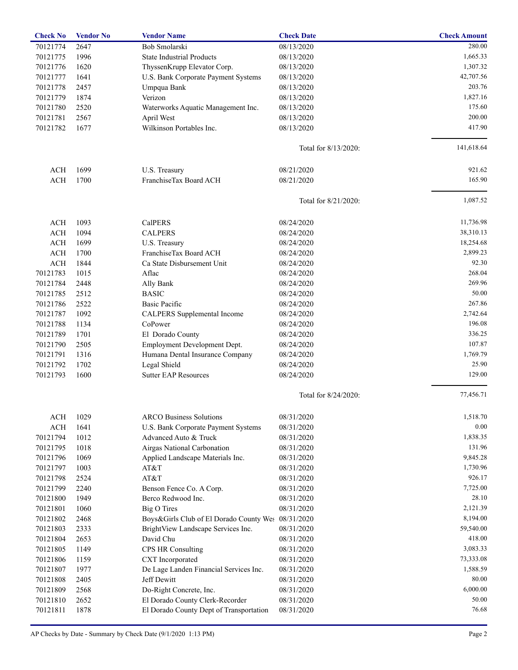| <b>Check No</b>      | <b>Vendor No</b> | <b>Vendor Name</b>                                 | <b>Check Date</b>        | <b>Check Amount</b> |
|----------------------|------------------|----------------------------------------------------|--------------------------|---------------------|
| 70121774             | 2647             | Bob Smolarski                                      | 08/13/2020               | 280.00              |
| 70121775             | 1996             | <b>State Industrial Products</b>                   | 08/13/2020               | 1,665.33            |
| 70121776             | 1620             | ThyssenKrupp Elevator Corp.                        | 08/13/2020               | 1,307.32            |
| 70121777             | 1641             | U.S. Bank Corporate Payment Systems                | 08/13/2020               | 42,707.56           |
| 70121778             | 2457             | Umpqua Bank                                        | 08/13/2020               | 203.76              |
| 70121779             | 1874             | Verizon                                            | 08/13/2020               | 1,827.16            |
| 70121780             | 2520             | Waterworks Aquatic Management Inc.                 | 08/13/2020               | 175.60              |
| 70121781             | 2567             | April West                                         | 08/13/2020               | 200.00              |
| 70121782             | 1677             | Wilkinson Portables Inc.                           | 08/13/2020               | 417.90              |
|                      |                  |                                                    | Total for 8/13/2020:     | 141,618.64          |
| <b>ACH</b>           | 1699             | U.S. Treasury                                      | 08/21/2020               | 921.62              |
| <b>ACH</b>           | 1700             | FranchiseTax Board ACH                             | 08/21/2020               | 165.90              |
|                      |                  |                                                    | Total for 8/21/2020:     | 1,087.52            |
| <b>ACH</b>           | 1093             | CalPERS                                            | 08/24/2020               | 11,736.98           |
| <b>ACH</b>           | 1094             | <b>CALPERS</b>                                     | 08/24/2020               | 38,310.13           |
| <b>ACH</b>           | 1699             | U.S. Treasury                                      | 08/24/2020               | 18,254.68           |
| <b>ACH</b>           | 1700             | FranchiseTax Board ACH                             | 08/24/2020               | 2,899.23            |
| <b>ACH</b>           | 1844             | Ca State Disbursement Unit                         | 08/24/2020               | 92.30               |
| 70121783             | 1015             | Aflac                                              | 08/24/2020               | 268.04              |
| 70121784             | 2448             | Ally Bank                                          | 08/24/2020               | 269.96              |
| 70121785             | 2512             | <b>BASIC</b>                                       | 08/24/2020               | 50.00               |
| 70121786             | 2522             | Basic Pacific                                      | 08/24/2020               | 267.86              |
| 70121787             | 1092             |                                                    | 08/24/2020               | 2,742.64            |
|                      | 1134             | CALPERS Supplemental Income<br>CoPower             | 08/24/2020               | 196.08              |
| 70121788             |                  |                                                    |                          | 336.25              |
| 70121789             | 1701             | El Dorado County                                   | 08/24/2020               | 107.87              |
| 70121790             | 2505             | Employment Development Dept.                       | 08/24/2020               |                     |
| 70121791             | 1316             | Humana Dental Insurance Company                    | 08/24/2020               | 1,769.79            |
| 70121792<br>70121793 | 1702<br>1600     | Legal Shield<br><b>Sutter EAP Resources</b>        | 08/24/2020<br>08/24/2020 | 25.90<br>129.00     |
|                      |                  |                                                    | Total for 8/24/2020:     | 77,456.71           |
|                      |                  |                                                    |                          |                     |
| ACH                  | 1029             | <b>ARCO Business Solutions</b>                     | 08/31/2020               | 1,518.70            |
| <b>ACH</b>           | 1641             | U.S. Bank Corporate Payment Systems                | 08/31/2020               | 0.00                |
| 70121794             | 1012             | Advanced Auto & Truck                              | 08/31/2020               | 1,838.35            |
| 70121795             | 1018             | Airgas National Carbonation                        | 08/31/2020               | 131.96              |
| 70121796             | 1069             | Applied Landscape Materials Inc.                   | 08/31/2020               | 9,845.28            |
| 70121797             | 1003             | AT&T                                               | 08/31/2020               | 1,730.96            |
| 70121798             | 2524             | AT&T                                               | 08/31/2020               | 926.17              |
| 70121799             | 2240             | Benson Fence Co. A Corp.                           | 08/31/2020               | 7,725.00            |
| 70121800             | 1949             | Berco Redwood Inc.                                 | 08/31/2020               | 28.10               |
| 70121801             | 1060             | <b>Big O Tires</b>                                 | 08/31/2020               | 2,121.39            |
| 70121802             | 2468             | Boys&Girls Club of El Dorado County Wes 08/31/2020 |                          | 8,194.00            |
| 70121803             | 2333             | BrightView Landscape Services Inc.                 | 08/31/2020               | 59,540.00           |
| 70121804             | 2653             | David Chu                                          | 08/31/2020               | 418.00              |
| 70121805             | 1149             | CPS HR Consulting                                  | 08/31/2020               | 3,083.33            |
| 70121806             | 1159             | CXT Incorporated                                   | 08/31/2020               | 73,333.08           |
| 70121807             | 1977             | De Lage Landen Financial Services Inc.             | 08/31/2020               | 1,588.59            |
| 70121808             | 2405             | Jeff Dewitt                                        | 08/31/2020               | 80.00               |
| 70121809             | 2568             | Do-Right Concrete, Inc.                            | 08/31/2020               | 6,000.00            |
| 70121810             | 2652             | El Dorado County Clerk-Recorder                    | 08/31/2020               | 50.00               |
| 70121811             | 1878             | El Dorado County Dept of Transportation            | 08/31/2020               | 76.68               |